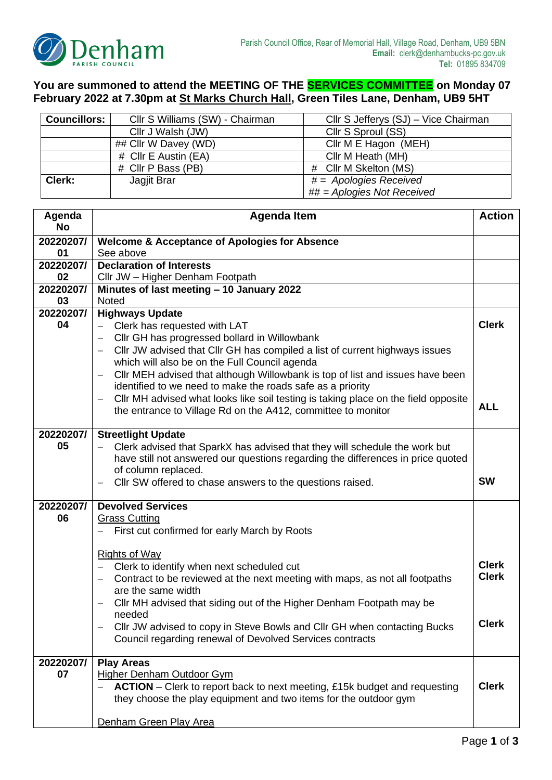

## **You are summoned to attend the MEETING OF THE SERVICES COMMITTEE on Monday 07 February 2022 at 7.30pm at St Marks Church Hall, Green Tiles Lane, Denham, UB9 5HT**

| <b>Councillors:</b>  | Cllr S Williams (SW) - Chairman<br>Cllr S Jefferys (SJ) – Vice Chairman |                               |  |
|----------------------|-------------------------------------------------------------------------|-------------------------------|--|
|                      | Cllr J Walsh (JW)                                                       | Cllr S Sproul (SS)            |  |
| ## Cllr W Davey (WD) |                                                                         | Cllr M E Hagon (MEH)          |  |
| # Cllr E Austin (EA) |                                                                         | Cllr M Heath (MH)             |  |
| # Cllr P Bass (PB)   |                                                                         | # Cllr M Skelton (MS)         |  |
| Clerk:               | $# =$ Apologies Received<br>Jagjit Brar                                 |                               |  |
|                      |                                                                         | $\#H =$ Aplogies Not Received |  |

| Agenda<br><b>No</b> | <b>Agenda Item</b>                                                                                                                          |              |
|---------------------|---------------------------------------------------------------------------------------------------------------------------------------------|--------------|
|                     |                                                                                                                                             |              |
| 20220207/<br>01     | <b>Welcome &amp; Acceptance of Apologies for Absence</b><br>See above                                                                       |              |
| 20220207/           | <b>Declaration of Interests</b>                                                                                                             |              |
| 02                  | Cllr JW - Higher Denham Footpath                                                                                                            |              |
| 20220207/           | Minutes of last meeting - 10 January 2022                                                                                                   |              |
| 03                  | <b>Noted</b>                                                                                                                                |              |
| 20220207/           | <b>Highways Update</b>                                                                                                                      |              |
| 04                  | Clerk has requested with LAT                                                                                                                | <b>Clerk</b> |
|                     | Cllr GH has progressed bollard in Willowbank                                                                                                |              |
|                     | CIIr JW advised that CIIr GH has compiled a list of current highways issues<br>$\overline{\phantom{0}}$                                     |              |
|                     | which will also be on the Full Council agenda                                                                                               |              |
|                     | Cllr MEH advised that although Willowbank is top of list and issues have been<br>identified to we need to make the roads safe as a priority |              |
|                     | CIIr MH advised what looks like soil testing is taking place on the field opposite<br>$\qquad \qquad -$                                     |              |
|                     | the entrance to Village Rd on the A412, committee to monitor                                                                                | <b>ALL</b>   |
|                     |                                                                                                                                             |              |
| 20220207/           | <b>Streetlight Update</b>                                                                                                                   |              |
| 05                  | Clerk advised that SparkX has advised that they will schedule the work but                                                                  |              |
|                     | have still not answered our questions regarding the differences in price quoted                                                             |              |
|                     | of column replaced.                                                                                                                         | <b>SW</b>    |
|                     | Cllr SW offered to chase answers to the questions raised.                                                                                   |              |
| 20220207/           | <b>Devolved Services</b>                                                                                                                    |              |
| 06                  | <b>Grass Cutting</b>                                                                                                                        |              |
|                     | First cut confirmed for early March by Roots                                                                                                |              |
|                     | <b>Rights of Way</b>                                                                                                                        |              |
|                     | Clerk to identify when next scheduled cut<br>$\overline{\phantom{0}}$                                                                       | <b>Clerk</b> |
|                     | Contract to be reviewed at the next meeting with maps, as not all footpaths                                                                 | <b>Clerk</b> |
|                     | are the same width                                                                                                                          |              |
|                     | Cllr MH advised that siding out of the Higher Denham Footpath may be                                                                        |              |
|                     | needed                                                                                                                                      |              |
|                     | Cllr JW advised to copy in Steve Bowls and Cllr GH when contacting Bucks                                                                    | <b>Clerk</b> |
|                     | Council regarding renewal of Devolved Services contracts                                                                                    |              |
| 20220207/           |                                                                                                                                             |              |
| 07                  | <b>Play Areas</b><br><b>Higher Denham Outdoor Gym</b>                                                                                       |              |
|                     | <b>ACTION</b> – Clerk to report back to next meeting, £15k budget and requesting                                                            | <b>Clerk</b> |
|                     | they choose the play equipment and two items for the outdoor gym                                                                            |              |
|                     |                                                                                                                                             |              |
|                     | Denham Green Play Area                                                                                                                      |              |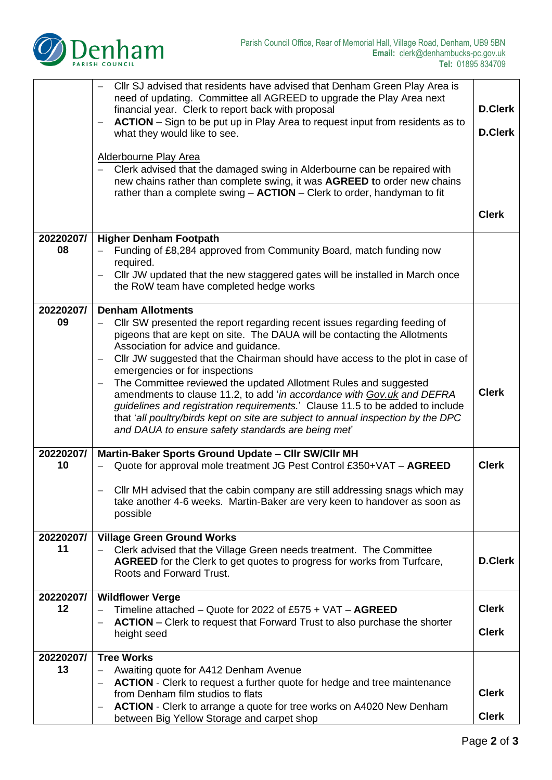

|           | Cllr SJ advised that residents have advised that Denham Green Play Area is<br>need of updating. Committee all AGREED to upgrade the Play Area next<br>financial year. Clerk to report back with proposal<br>ACTION - Sign to be put up in Play Area to request input from residents as to<br>what they would like to see.<br><b>Alderbourne Play Area</b> |                |
|-----------|-----------------------------------------------------------------------------------------------------------------------------------------------------------------------------------------------------------------------------------------------------------------------------------------------------------------------------------------------------------|----------------|
|           | Clerk advised that the damaged swing in Alderbourne can be repaired with<br>$\qquad \qquad -$<br>new chains rather than complete swing, it was AGREED to order new chains<br>rather than a complete swing $-$ ACTION $-$ Clerk to order, handyman to fit                                                                                                  |                |
|           |                                                                                                                                                                                                                                                                                                                                                           | <b>Clerk</b>   |
| 20220207/ | <b>Higher Denham Footpath</b>                                                                                                                                                                                                                                                                                                                             |                |
| 08        | Funding of £8,284 approved from Community Board, match funding now<br>required.                                                                                                                                                                                                                                                                           |                |
|           | Cllr JW updated that the new staggered gates will be installed in March once<br>$\qquad \qquad -$<br>the RoW team have completed hedge works                                                                                                                                                                                                              |                |
| 20220207/ | <b>Denham Allotments</b>                                                                                                                                                                                                                                                                                                                                  |                |
| 09        | CIIr SW presented the report regarding recent issues regarding feeding of<br>pigeons that are kept on site. The DAUA will be contacting the Allotments<br>Association for advice and guidance.                                                                                                                                                            |                |
|           | Cllr JW suggested that the Chairman should have access to the plot in case of<br>$\qquad \qquad -$<br>emergencies or for inspections                                                                                                                                                                                                                      |                |
|           | The Committee reviewed the updated Allotment Rules and suggested                                                                                                                                                                                                                                                                                          |                |
|           | amendments to clause 11.2, to add 'in accordance with Gov.uk and DEFRA<br>guidelines and registration requirements.' Clause 11.5 to be added to include<br>that 'all poultry/birds kept on site are subject to annual inspection by the DPC<br>and DAUA to ensure safety standards are being met                                                          | <b>Clerk</b>   |
| 20220207/ | Martin-Baker Sports Ground Update - Cllr SW/Cllr MH                                                                                                                                                                                                                                                                                                       |                |
| 10        | Quote for approval mole treatment JG Pest Control £350+VAT - AGREED                                                                                                                                                                                                                                                                                       | <b>Clerk</b>   |
|           | CIIr MH advised that the cabin company are still addressing snags which may<br>take another 4-6 weeks. Martin-Baker are very keen to handover as soon as<br>possible                                                                                                                                                                                      |                |
| 20220207/ | <b>Village Green Ground Works</b>                                                                                                                                                                                                                                                                                                                         |                |
| 11        | Clerk advised that the Village Green needs treatment. The Committee<br>AGREED for the Clerk to get quotes to progress for works from Turfcare,<br>Roots and Forward Trust.                                                                                                                                                                                | <b>D.Clerk</b> |
|           |                                                                                                                                                                                                                                                                                                                                                           |                |
| 20220207/ | <b>Wildflower Verge</b>                                                                                                                                                                                                                                                                                                                                   |                |
| 12        | Timeline attached – Quote for 2022 of £575 + VAT – $AGREED$                                                                                                                                                                                                                                                                                               | <b>Clerk</b>   |
|           | <b>ACTION</b> – Clerk to request that Forward Trust to also purchase the shorter<br>height seed                                                                                                                                                                                                                                                           | <b>Clerk</b>   |
| 20220207/ | <b>Tree Works</b>                                                                                                                                                                                                                                                                                                                                         |                |
| 13        | Awaiting quote for A412 Denham Avenue                                                                                                                                                                                                                                                                                                                     |                |
|           | <b>ACTION</b> - Clerk to request a further quote for hedge and tree maintenance                                                                                                                                                                                                                                                                           | <b>Clerk</b>   |
|           | from Denham film studios to flats                                                                                                                                                                                                                                                                                                                         |                |
|           | ACTION - Clerk to arrange a quote for tree works on A4020 New Denham<br>between Big Yellow Storage and carpet shop                                                                                                                                                                                                                                        | <b>Clerk</b>   |
|           |                                                                                                                                                                                                                                                                                                                                                           |                |